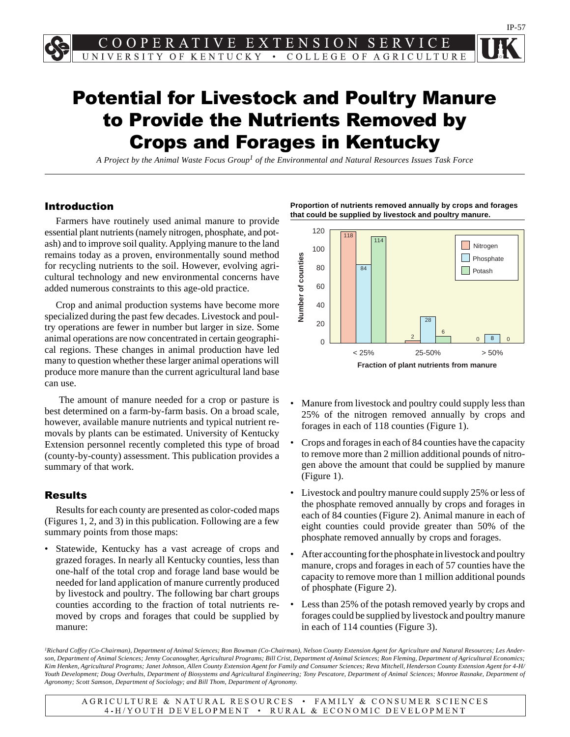# Potential for Livestock and Poultry Manure to Provide the Nutrients Removed by Crops and Forages in Kentucky

*A Project by the Animal Waste Focus Group1 of the Environmental and Natural Resources Issues Task Force*

#### Introduction

Farmers have routinely used animal manure to provide essential plant nutrients (namely nitrogen, phosphate, and potash) and to improve soil quality. Applying manure to the land remains today as a proven, environmentally sound method for recycling nutrients to the soil. However, evolving agricultural technology and new environmental concerns have added numerous constraints to this age-old practice.

Crop and animal production systems have become more specialized during the past few decades. Livestock and poultry operations are fewer in number but larger in size. Some animal operations are now concentrated in certain geographical regions. These changes in animal production have led many to question whether these larger animal operations will produce more manure than the current agricultural land base can use.

 The amount of manure needed for a crop or pasture is best determined on a farm-by-farm basis. On a broad scale, however, available manure nutrients and typical nutrient removals by plants can be estimated. University of Kentucky Extension personnel recently completed this type of broad (county-by-county) assessment. This publication provides a summary of that work.

#### Results

Results for each county are presented as color-coded maps (Figures 1, 2, and 3) in this publication. Following are a few summary points from those maps:

Statewide, Kentucky has a vast acreage of crops and grazed forages. In nearly all Kentucky counties, less than one-half of the total crop and forage land base would be needed for land application of manure currently produced by livestock and poultry. The following bar chart groups counties according to the fraction of total nutrients removed by crops and forages that could be supplied by manure:





- Manure from livestock and poultry could supply less than 25% of the nitrogen removed annually by crops and forages in each of 118 counties (Figure 1).
- Crops and forages in each of 84 counties have the capacity to remove more than 2 million additional pounds of nitrogen above the amount that could be supplied by manure (Figure 1).
- Livestock and poultry manure could supply 25% or less of the phosphate removed annually by crops and forages in each of 84 counties (Figure 2). Animal manure in each of eight counties could provide greater than 50% of the phosphate removed annually by crops and forages.
- After accounting for the phosphate in livestock and poultry manure, crops and forages in each of 57 counties have the capacity to remove more than 1 million additional pounds of phosphate (Figure 2).
- Less than 25% of the potash removed yearly by crops and forages could be supplied by livestock and poultry manure in each of 114 counties (Figure 3).

*1Richard Coffey (Co-Chairman), Department of Animal Sciences; Ron Bowman (Co-Chairman), Nelson County Extension Agent for Agriculture and Natural Resources; Les Anderson, Department of Animal Sciences; Jenny Cocanougher, Agricultural Programs; Bill Crist, Department of Animal Sciences; Ron Fleming, Department of Agricultural Economics; Kim Henken, Agricultural Programs; Janet Johnson, Allen County Extension Agent for Family and Consumer Sciences; Reva Mitchell, Henderson County Extension Agent for 4-H/ Youth Development; Doug Overhults, Department of Biosystems and Agricultural Engineering; Tony Pescatore, Department of Animal Sciences; Monroe Rasnake, Department of Agronomy; Scott Samson, Department of Sociology; and Bill Thom, Department of Agronomy.*

AGRICULTURE & NATURAL RESOURCES • FAMILY & CONSUMER SCIENCES 4-H/YOUTH DEVELOPMENT • RURAL & ECONOMIC DEVELOPMENT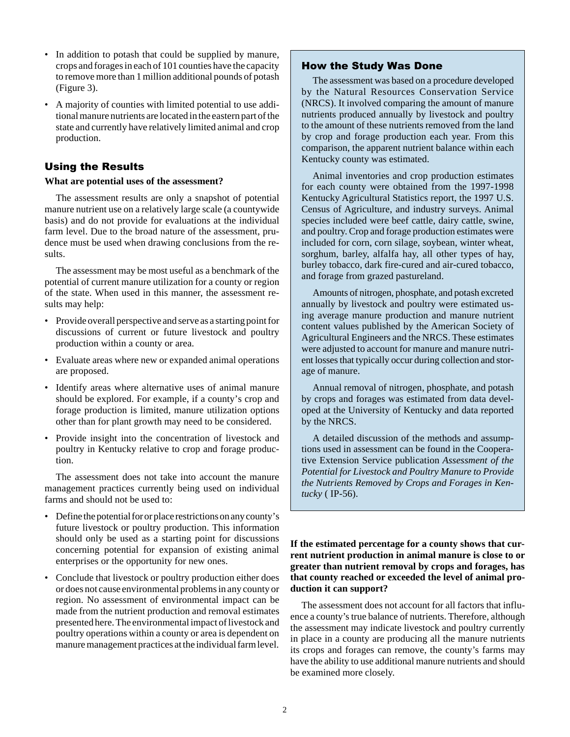- In addition to potash that could be supplied by manure, crops and forages in each of 101 counties have the capacity to remove more than 1 million additional pounds of potash (Figure 3).
- A majority of counties with limited potential to use additional manure nutrients are located in the eastern part of the state and currently have relatively limited animal and crop production.

## Using the Results

#### **What are potential uses of the assessment?**

The assessment results are only a snapshot of potential manure nutrient use on a relatively large scale (a countywide basis) and do not provide for evaluations at the individual farm level. Due to the broad nature of the assessment, prudence must be used when drawing conclusions from the results.

The assessment may be most useful as a benchmark of the potential of current manure utilization for a county or region of the state. When used in this manner, the assessment results may help:

- Provide overall perspective and serve as a starting point for discussions of current or future livestock and poultry production within a county or area.
- Evaluate areas where new or expanded animal operations are proposed.
- Identify areas where alternative uses of animal manure should be explored. For example, if a county's crop and forage production is limited, manure utilization options other than for plant growth may need to be considered.
- Provide insight into the concentration of livestock and poultry in Kentucky relative to crop and forage production.

The assessment does not take into account the manure management practices currently being used on individual farms and should not be used to:

- Define the potential for or place restrictions on any county's future livestock or poultry production. This information should only be used as a starting point for discussions concerning potential for expansion of existing animal enterprises or the opportunity for new ones.
- Conclude that livestock or poultry production either does or does not cause environmental problems in any county or region. No assessment of environmental impact can be made from the nutrient production and removal estimates presented here. The environmental impact of livestock and poultry operations within a county or area is dependent on manure management practices at the individual farm level.

### How the Study Was Done

The assessment was based on a procedure developed by the Natural Resources Conservation Service (NRCS). It involved comparing the amount of manure nutrients produced annually by livestock and poultry to the amount of these nutrients removed from the land by crop and forage production each year. From this comparison, the apparent nutrient balance within each Kentucky county was estimated.

Animal inventories and crop production estimates for each county were obtained from the 1997-1998 Kentucky Agricultural Statistics report, the 1997 U.S. Census of Agriculture, and industry surveys. Animal species included were beef cattle, dairy cattle, swine, and poultry. Crop and forage production estimates were included for corn, corn silage, soybean, winter wheat, sorghum, barley, alfalfa hay, all other types of hay, burley tobacco, dark fire-cured and air-cured tobacco, and forage from grazed pastureland.

Amounts of nitrogen, phosphate, and potash excreted annually by livestock and poultry were estimated using average manure production and manure nutrient content values published by the American Society of Agricultural Engineers and the NRCS. These estimates were adjusted to account for manure and manure nutrient losses that typically occur during collection and storage of manure.

Annual removal of nitrogen, phosphate, and potash by crops and forages was estimated from data developed at the University of Kentucky and data reported by the NRCS.

A detailed discussion of the methods and assumptions used in assessment can be found in the Cooperative Extension Service publication *Assessment of the Potential for Livestock and Poultry Manure to Provide the Nutrients Removed by Crops and Forages in Kentucky* ( IP-56).

**If the estimated percentage for a county shows that current nutrient production in animal manure is close to or greater than nutrient removal by crops and forages, has that county reached or exceeded the level of animal production it can support?**

The assessment does not account for all factors that influence a county's true balance of nutrients. Therefore, although the assessment may indicate livestock and poultry currently in place in a county are producing all the manure nutrients its crops and forages can remove, the county's farms may have the ability to use additional manure nutrients and should be examined more closely.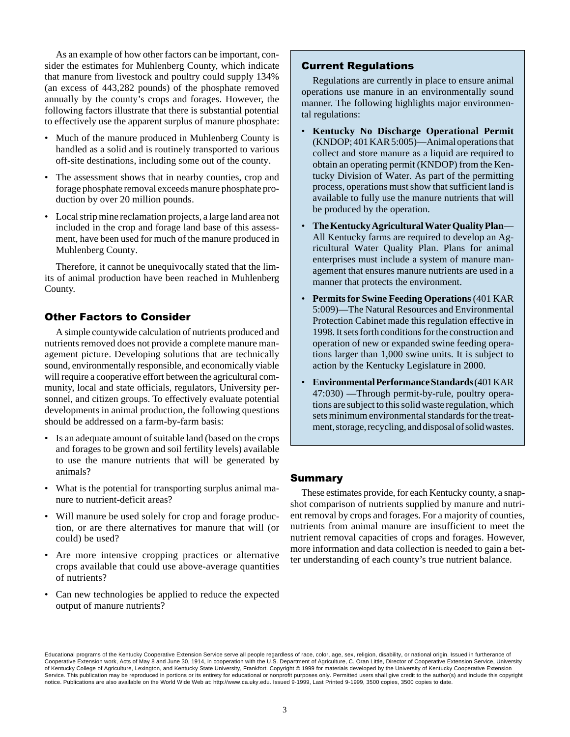As an example of how other factors can be important, consider the estimates for Muhlenberg County, which indicate that manure from livestock and poultry could supply 134% (an excess of 443,282 pounds) of the phosphate removed annually by the county's crops and forages. However, the following factors illustrate that there is substantial potential to effectively use the apparent surplus of manure phosphate:

- Much of the manure produced in Muhlenberg County is handled as a solid and is routinely transported to various off-site destinations, including some out of the county.
- The assessment shows that in nearby counties, crop and forage phosphate removal exceeds manure phosphate production by over 20 million pounds.
- Local strip mine reclamation projects, a large land area not included in the crop and forage land base of this assessment, have been used for much of the manure produced in Muhlenberg County.

Therefore, it cannot be unequivocally stated that the limits of animal production have been reached in Muhlenberg County.

### Other Factors to Consider

A simple countywide calculation of nutrients produced and nutrients removed does not provide a complete manure management picture. Developing solutions that are technically sound, environmentally responsible, and economically viable will require a cooperative effort between the agricultural community, local and state officials, regulators, University personnel, and citizen groups. To effectively evaluate potential developments in animal production, the following questions should be addressed on a farm-by-farm basis:

- Is an adequate amount of suitable land (based on the crops and forages to be grown and soil fertility levels) available to use the manure nutrients that will be generated by animals?
- What is the potential for transporting surplus animal manure to nutrient-deficit areas?
- Will manure be used solely for crop and forage production, or are there alternatives for manure that will (or could) be used?
- Are more intensive cropping practices or alternative crops available that could use above-average quantities of nutrients?
- Can new technologies be applied to reduce the expected output of manure nutrients?

### Current Regulations

Regulations are currently in place to ensure animal operations use manure in an environmentally sound manner. The following highlights major environmental regulations:

- **Kentucky No Discharge Operational Permit** (KNDOP; 401 KAR 5:005)—Animal operations that collect and store manure as a liquid are required to obtain an operating permit (KNDOP) from the Kentucky Division of Water. As part of the permitting process, operations must show that sufficient land is available to fully use the manure nutrients that will be produced by the operation.
- **The Kentucky Agricultural Water Quality Plan** All Kentucky farms are required to develop an Agricultural Water Quality Plan. Plans for animal enterprises must include a system of manure management that ensures manure nutrients are used in a manner that protects the environment.
- **Permits for Swine Feeding Operations** (401 KAR 5:009)—The Natural Resources and Environmental Protection Cabinet made this regulation effective in 1998. It sets forth conditions for the construction and operation of new or expanded swine feeding operations larger than 1,000 swine units. It is subject to action by the Kentucky Legislature in 2000.
- **Environmental Performance Standards** (401 KAR 47:030) —Through permit-by-rule, poultry operations are subject to this solid waste regulation, which sets minimum environmental standards for the treatment, storage, recycling, and disposal of solid wastes.

#### Summary

These estimates provide, for each Kentucky county, a snapshot comparison of nutrients supplied by manure and nutrient removal by crops and forages. For a majority of counties, nutrients from animal manure are insufficient to meet the nutrient removal capacities of crops and forages. However, more information and data collection is needed to gain a better understanding of each county's true nutrient balance.

Educational programs of the Kentucky Cooperative Extension Service serve all people regardless of race, color, age, sex, religion, disability, or national origin. Issued in furtherance of Cooperative Extension work, Acts of May 8 and June 30, 1914, in cooperation with the U.S. Department of Agriculture, C. Oran Little, Director of Cooperative Extension Service, University of Kentucky College of Agriculture, Lexington, and Kentucky State University, Frankfort. Copyright © 1999 for materials developed by the University of Kentucky Cooperative Extension Service. This publication may be reproduced in portions or its entirety for educational or nonprofit purposes only. Permitted users shall give credit to the author(s) and include this copyright notice. Publications are also available on the World Wide Web at: http://www.ca.uky.edu. Issued 9-1999, Last Printed 9-1999, 3500 copies, 3500 copies to date.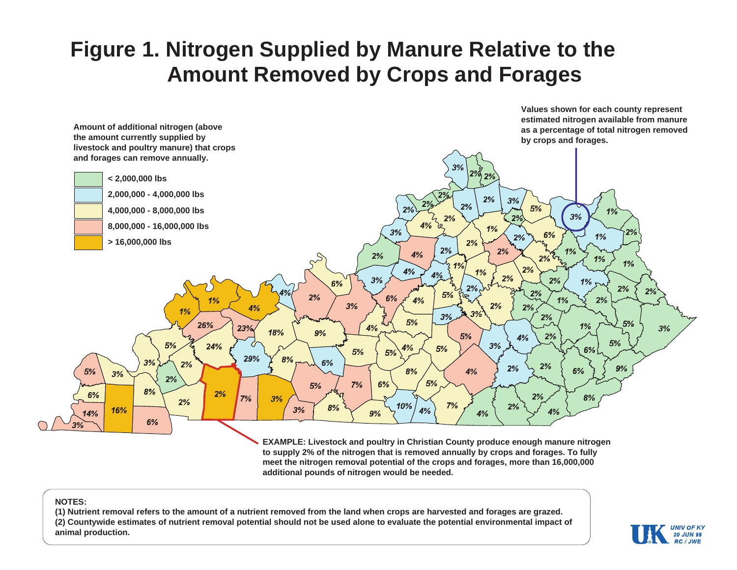# **Figure 1. Nitrogen Supplied by Manure Relative to the Amount Removed by Crops and Forages**



**to supply 2% of the nitrogen that is removed annually by crops and forages. To fully meet the nitrogen removal potential of the crops and forages, more than 16,000,000 additional pounds of nitrogen would be needed.**

#### **NOTES:**

**(1) Nutrient removal refers to the amount of a nutrient removed from the land when crops are harvested and forages are grazed. (2) Countywide estimates of nutrient removal potential should not be used alone to evaluate the potential environmental impact of animal production.**

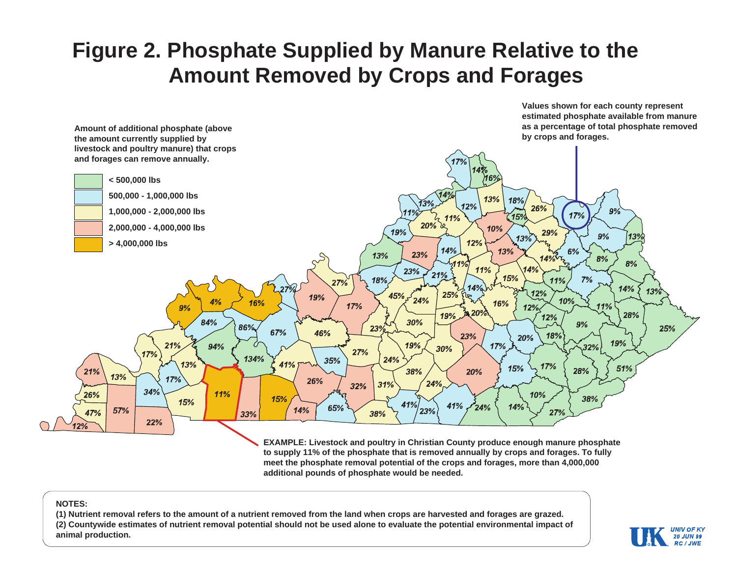# **Figure 2. Phosphate Supplied by Manure Relative to the Amount Removed by Crops and Forages**



**EXAMPLE: Livestock and poultry in Christian County produce enough manure phosphate to supply 11% of the phosphate that is removed annually by crops and forages. To fully meet the phosphate removal potential of the crops and forages, more than 4,000,000 additional pounds of phosphate would be needed.**

#### **NOTES:**

**(1) Nutrient removal refers to the amount of a nutrient removed from the land when crops are harvested and forages are grazed. (2) Countywide estimates of nutrient removal potential should not be used alone to evaluate the potential environmental impact of animal production.**



**Values shown for each county represent**